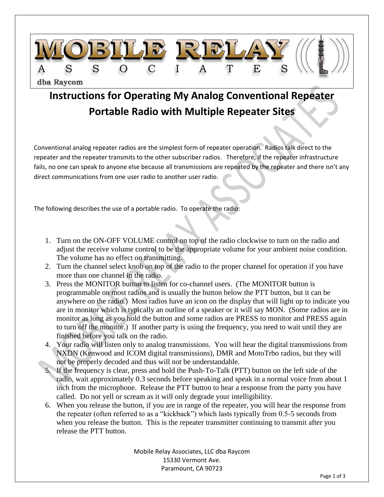

## **Instructions for Operating My Analog Conventional Repeater Portable Radio with Multiple Repeater Sites**

Conventional analog repeater radios are the simplest form of repeater operation. Radios talk direct to the repeater and the repeater transmits to the other subscriber radios. Therefore, if the repeater infrastructure fails, no one can speak to anyone else because all transmissions are repeated by the repeater and there isn't any direct communications from one user radio to another user radio.

The following describes the use of a portable radio. To operate the radio:

- 1. Turn on the ON-OFF VOLUME control on top of the radio clockwise to turn on the radio and adjust the receive volume control to be the appropriate volume for your ambient noise condition. The volume has no effect on transmitting.
- 2. Turn the channel select knob on top of the radio to the proper channel for operation if you have more than one channel in the radio.
- 3. Press the MONITOR button to listen for co-channel users. (The MONITOR button is programmable on most radios and is usually the button below the PTT button, but it can be anywhere on the radio.) Most radios have an icon on the display that will light up to indicate you are in monitor which is typically an outline of a speaker or it will say MON. (Some radios are in monitor as long as you hold the button and some radios are PRESS to monitor and PRESS again to turn off the monitor.) If another party is using the frequency, you need to wait until they are finished before you talk on the radio.
- 4. Your radio will listen only to analog transmissions. You will hear the digital transmissions from NXDN (Kenwood and ICOM digital transmissions), DMR and MotoTrbo radios, but they will not be properly decoded and thus will not be understandable.
- 5. If the frequency is clear, press and hold the Push-To-Talk (PTT) button on the left side of the radio, wait approximately 0.3 seconds before speaking and speak in a normal voice from about 1 inch from the microphone. Release the PTT button to hear a response from the party you have called. Do not yell or scream as it will only degrade your intelligibility.
- 6. When you release the button, if you are in range of the repeater, you will hear the response from the repeater (often referred to as a "kickback") which lasts typically from 0.5-5 seconds from when you release the button. This is the repeater transmitter continuing to transmit after you release the PTT button.

Mobile Relay Associates, LLC dba Raycom 15330 Vermont Ave. Paramount, CA 90723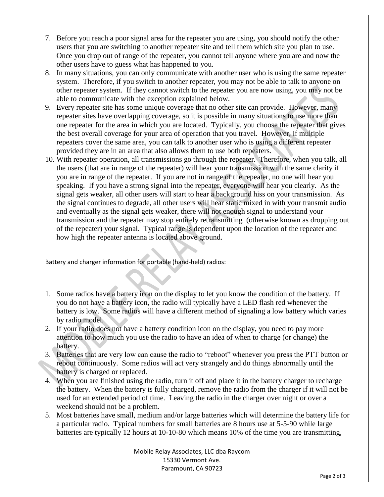- 7. Before you reach a poor signal area for the repeater you are using, you should notify the other users that you are switching to another repeater site and tell them which site you plan to use. Once you drop out of range of the repeater, you cannot tell anyone where you are and now the other users have to guess what has happened to you.
- 8. In many situations, you can only communicate with another user who is using the same repeater system. Therefore, if you switch to another repeater, you may not be able to talk to anyone on other repeater system. If they cannot switch to the repeater you are now using, you may not be able to communicate with the exception explained below.
- 9. Every repeater site has some unique coverage that no other site can provide. However, many repeater sites have overlapping coverage, so it is possible in many situations to use more than one repeater for the area in which you are located. Typically, you choose the repeater that gives the best overall coverage for your area of operation that you travel. However, if multiple repeaters cover the same area, you can talk to another user who is using a different repeater provided they are in an area that also allows them to use both repeaters.
- 10. With repeater operation, all transmissions go through the repeater. Therefore, when you talk, all the users (that are in range of the repeater) will hear your transmission with the same clarity if you are in range of the repeater. If you are not in range of the repeater, no one will hear you speaking. If you have a strong signal into the repeater, everyone will hear you clearly. As the signal gets weaker, all other users will start to hear a background hiss on your transmission. As the signal continues to degrade, all other users will hear static mixed in with your transmit audio and eventually as the signal gets weaker, there will not enough signal to understand your transmission and the repeater may stop entirely retransmitting (otherwise known as dropping out of the repeater) your signal. Typical range is dependent upon the location of the repeater and how high the repeater antenna is located above ground.

Battery and charger information for portable (hand-held) radios:

- 1. Some radios have a battery icon on the display to let you know the condition of the battery. If you do not have a battery icon, the radio will typically have a LED flash red whenever the battery is low. Some radios will have a different method of signaling a low battery which varies by radio model.
- 2. If your radio does not have a battery condition icon on the display, you need to pay more attention to how much you use the radio to have an idea of when to charge (or change) the battery.
- 3. Batteries that are very low can cause the radio to "reboot" whenever you press the PTT button or reboot continuously. Some radios will act very strangely and do things abnormally until the battery is charged or replaced.
- 4. When you are finished using the radio, turn it off and place it in the battery charger to recharge the battery. When the battery is fully charged, remove the radio from the charger if it will not be used for an extended period of time. Leaving the radio in the charger over night or over a weekend should not be a problem.
- 5. Most batteries have small, medium and/or large batteries which will determine the battery life for a particular radio. Typical numbers for small batteries are 8 hours use at 5-5-90 while large batteries are typically 12 hours at 10-10-80 which means 10% of the time you are transmitting,

Mobile Relay Associates, LLC dba Raycom 15330 Vermont Ave. Paramount, CA 90723